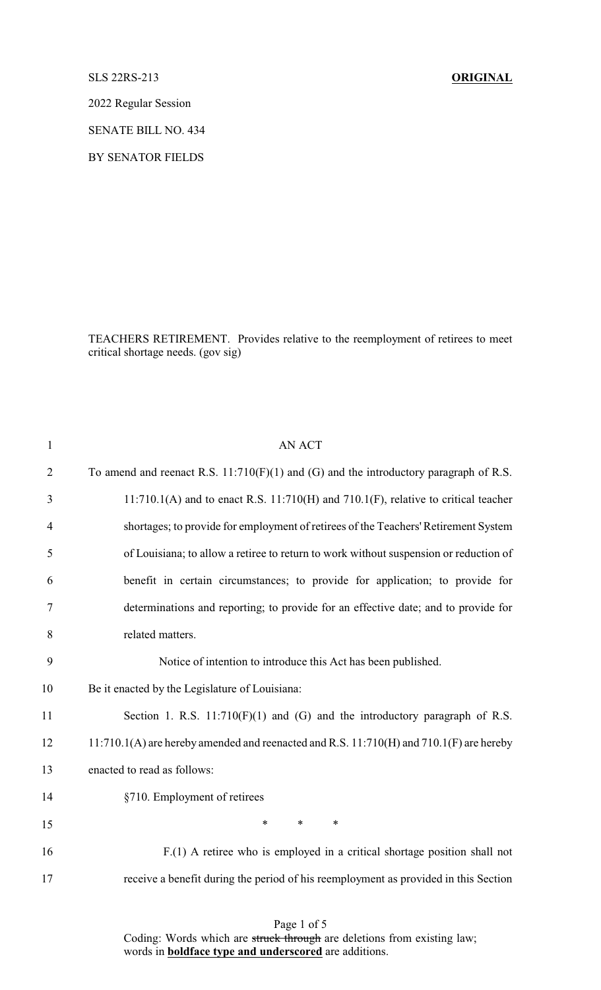## SLS 22RS-213 **ORIGINAL**

2022 Regular Session

SENATE BILL NO. 434

BY SENATOR FIELDS

TEACHERS RETIREMENT. Provides relative to the reemployment of retirees to meet critical shortage needs. (gov sig)

| <b>AN ACT</b>                                                                                 |
|-----------------------------------------------------------------------------------------------|
| To amend and reenact R.S. $11:710(F)(1)$ and (G) and the introductory paragraph of R.S.       |
| $11:710.1(A)$ and to enact R.S. $11:710(H)$ and $710.1(F)$ , relative to critical teacher     |
| shortages; to provide for employment of retirees of the Teachers' Retirement System           |
| of Louisiana; to allow a retiree to return to work without suspension or reduction of         |
| benefit in certain circumstances; to provide for application; to provide for                  |
| determinations and reporting; to provide for an effective date; and to provide for            |
| related matters.                                                                              |
| Notice of intention to introduce this Act has been published.                                 |
| Be it enacted by the Legislature of Louisiana:                                                |
| Section 1. R.S. $11:710(F)(1)$ and (G) and the introductory paragraph of R.S.                 |
| $11:710.1(A)$ are hereby amended and reenacted and R.S. $11:710(H)$ and $710.1(F)$ are hereby |
| enacted to read as follows:                                                                   |
| §710. Employment of retirees                                                                  |
| $\ast$<br>*<br>∗                                                                              |
| $F(1)$ A retiree who is employed in a critical shortage position shall not                    |
| receive a benefit during the period of his reemployment as provided in this Section           |
|                                                                                               |

Page 1 of 5 Coding: Words which are struck through are deletions from existing law; words in **boldface type and underscored** are additions.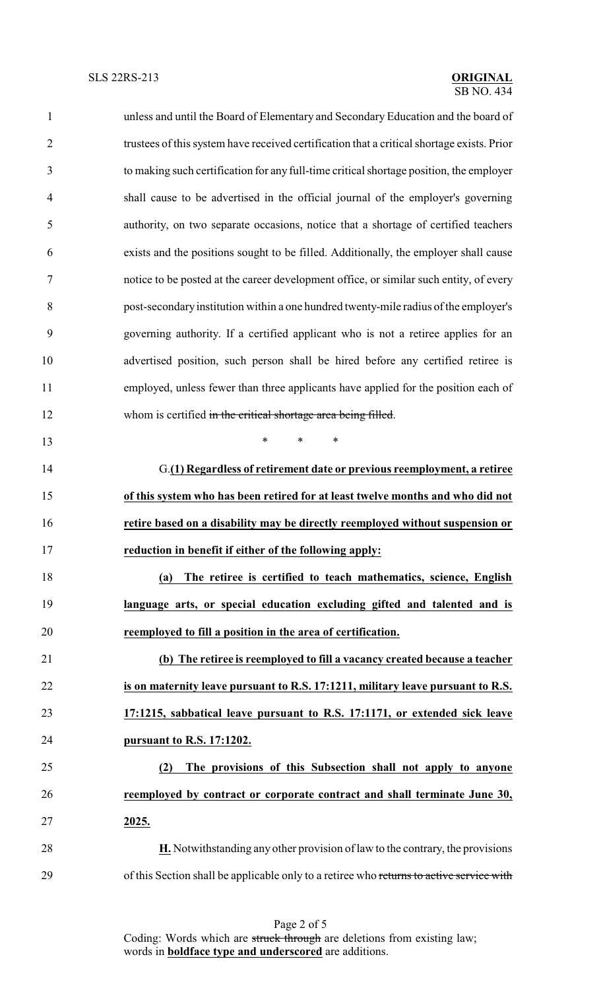| $\mathbf{1}$   | unless and until the Board of Elementary and Secondary Education and the board of          |
|----------------|--------------------------------------------------------------------------------------------|
| $\overline{2}$ | trustees of this system have received certification that a critical shortage exists. Prior |
| 3              | to making such certification for any full-time critical shortage position, the employer    |
| $\overline{4}$ | shall cause to be advertised in the official journal of the employer's governing           |
| 5              | authority, on two separate occasions, notice that a shortage of certified teachers         |
| 6              | exists and the positions sought to be filled. Additionally, the employer shall cause       |
| $\tau$         | notice to be posted at the career development office, or similar such entity, of every     |
| $8\,$          | post-secondary institution within a one hundred twenty-mile radius of the employer's       |
| 9              | governing authority. If a certified applicant who is not a retiree applies for an          |
| 10             | advertised position, such person shall be hired before any certified retiree is            |
| 11             | employed, unless fewer than three applicants have applied for the position each of         |
| 12             | whom is certified in the critical shortage area being filled.                              |
| 13             | $\ast$<br>$\ast$<br>$\ast$                                                                 |
| 14             | G.(1) Regardless of retirement date or previous reemployment, a retiree                    |
| 15             | of this system who has been retired for at least twelve months and who did not             |
| 16             | retire based on a disability may be directly reemployed without suspension or              |
| 17             | reduction in benefit if either of the following apply:                                     |
| 18             | The retiree is certified to teach mathematics, science, English<br>(a)                     |
| 19             | language arts, or special education excluding gifted and talented and is                   |
| 20             | reemployed to fill a position in the area of certification.                                |
| 21             | (b) The retiree is reemployed to fill a vacancy created because a teacher                  |
| 22             | is on maternity leave pursuant to R.S. 17:1211, military leave pursuant to R.S.            |
| 23             | 17:1215, sabbatical leave pursuant to R.S. 17:1171, or extended sick leave                 |
| 24             | pursuant to R.S. 17:1202.                                                                  |
| 25             | The provisions of this Subsection shall not apply to anyone<br>(2)                         |
| 26             | reemployed by contract or corporate contract and shall terminate June 30,                  |
| 27             | 2025.                                                                                      |
| 28             | $H$ . Notwithstanding any other provision of law to the contrary, the provisions           |
| 29             | of this Section shall be applicable only to a retiree who returns to active service with   |

Page 2 of 5 Coding: Words which are struck through are deletions from existing law; words in **boldface type and underscored** are additions.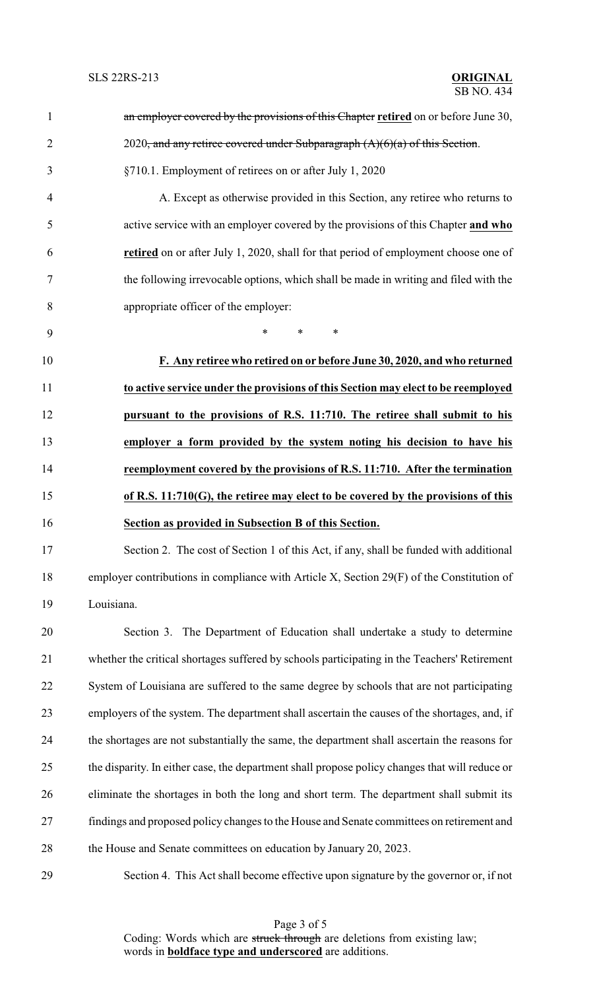| $\mathbf{1}$   | an employer covered by the provisions of this Chapter retired on or before June 30,            |
|----------------|------------------------------------------------------------------------------------------------|
| $\overline{2}$ | $2020$ , and any retiree covered under Subparagraph $(A)(6)(a)$ of this Section.               |
| 3              | §710.1. Employment of retirees on or after July 1, 2020                                        |
| 4              | A. Except as otherwise provided in this Section, any retiree who returns to                    |
| 5              | active service with an employer covered by the provisions of this Chapter and who              |
| 6              | retired on or after July 1, 2020, shall for that period of employment choose one of            |
| 7              | the following irrevocable options, which shall be made in writing and filed with the           |
| 8              | appropriate officer of the employer:                                                           |
| 9              | *<br>$\ast$<br>$\ast$                                                                          |
| 10             | F. Any retiree who retired on or before June 30, 2020, and who returned                        |
| 11             | to active service under the provisions of this Section may elect to be reemployed              |
| 12             | pursuant to the provisions of R.S. 11:710. The retiree shall submit to his                     |
| 13             | employer a form provided by the system noting his decision to have his                         |
| 14             | reemployment covered by the provisions of R.S. 11:710. After the termination                   |
| 15             | of R.S. 11:710(G), the retiree may elect to be covered by the provisions of this               |
| 16             | Section as provided in Subsection B of this Section.                                           |
| 17             | Section 2. The cost of Section 1 of this Act, if any, shall be funded with additional          |
| 18             | employer contributions in compliance with Article X, Section 29(F) of the Constitution of      |
| 19             | Louisiana.                                                                                     |
| 20             | Section 3. The Department of Education shall undertake a study to determine                    |
| 21             | whether the critical shortages suffered by schools participating in the Teachers' Retirement   |
| 22             | System of Louisiana are suffered to the same degree by schools that are not participating      |
| 23             | employers of the system. The department shall ascertain the causes of the shortages, and, if   |
| 24             | the shortages are not substantially the same, the department shall ascertain the reasons for   |
| 25             | the disparity. In either case, the department shall propose policy changes that will reduce or |
| 26             | eliminate the shortages in both the long and short term. The department shall submit its       |
| 27             | findings and proposed policy changes to the House and Senate committees on retirement and      |
| 28             | the House and Senate committees on education by January 20, 2023.                              |
| 29             | Section 4. This Act shall become effective upon signature by the governor or, if not           |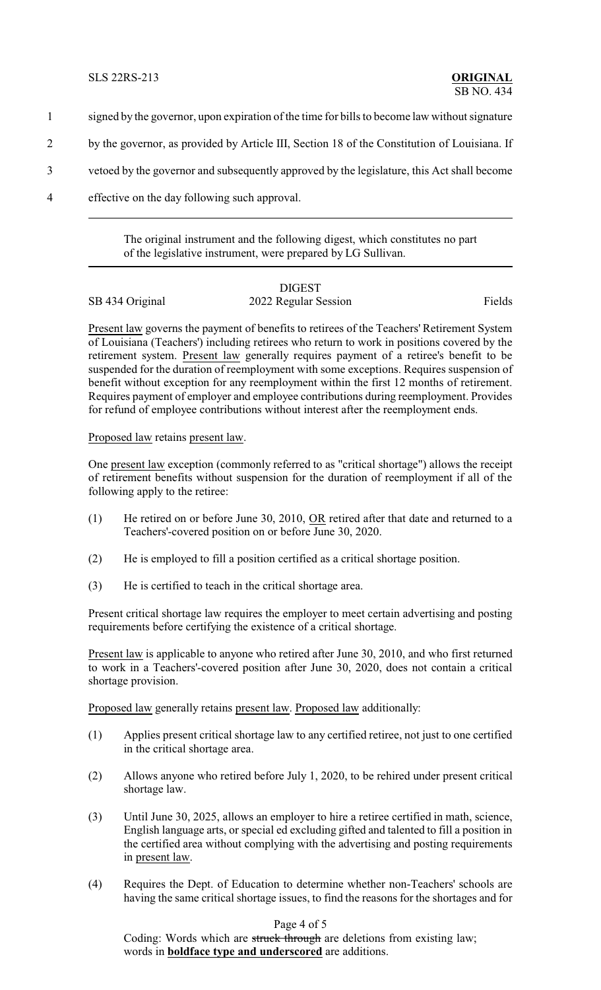- 1 signed by the governor, upon expiration of the time for bills to become law without signature
- 2 by the governor, as provided by Article III, Section 18 of the Constitution of Louisiana. If
- 3 vetoed by the governor and subsequently approved by the legislature, this Act shall become
- 4 effective on the day following such approval.

The original instrument and the following digest, which constitutes no part of the legislative instrument, were prepared by LG Sullivan.

## DIGEST SB 434 Original 2022 Regular Session Fields

Present law governs the payment of benefits to retirees of the Teachers' Retirement System of Louisiana (Teachers') including retirees who return to work in positions covered by the retirement system. Present law generally requires payment of a retiree's benefit to be suspended for the duration of reemployment with some exceptions. Requires suspension of benefit without exception for any reemployment within the first 12 months of retirement. Requires payment of employer and employee contributions during reemployment. Provides for refund of employee contributions without interest after the reemployment ends.

Proposed law retains present law.

One present law exception (commonly referred to as "critical shortage") allows the receipt of retirement benefits without suspension for the duration of reemployment if all of the following apply to the retiree:

- (1) He retired on or before June 30, 2010, OR retired after that date and returned to a Teachers'-covered position on or before June 30, 2020.
- (2) He is employed to fill a position certified as a critical shortage position.
- (3) He is certified to teach in the critical shortage area.

Present critical shortage law requires the employer to meet certain advertising and posting requirements before certifying the existence of a critical shortage.

Present law is applicable to anyone who retired after June 30, 2010, and who first returned to work in a Teachers'-covered position after June 30, 2020, does not contain a critical shortage provision.

Proposed law generally retains present law. Proposed law additionally:

- (1) Applies present critical shortage law to any certified retiree, not just to one certified in the critical shortage area.
- (2) Allows anyone who retired before July 1, 2020, to be rehired under present critical shortage law.
- (3) Until June 30, 2025, allows an employer to hire a retiree certified in math, science, English language arts, or special ed excluding gifted and talented to fill a position in the certified area without complying with the advertising and posting requirements in present law.
- (4) Requires the Dept. of Education to determine whether non-Teachers' schools are having the same critical shortage issues, to find the reasons for the shortages and for

## Page 4 of 5

Coding: Words which are struck through are deletions from existing law; words in **boldface type and underscored** are additions.